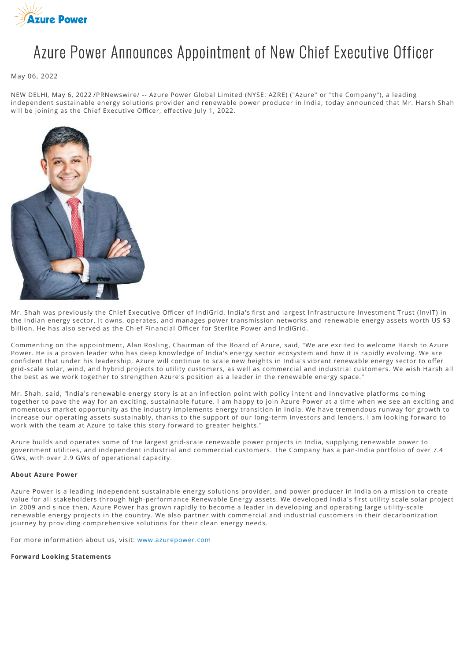

## Azure Power Announces Appointment of New Chief Executive Officer

May 06, 2022

NEW DELHI, May 6, 2022 /PRNewswire/ -- Azure Power Global Limited (NYSE: AZRE) ("Azure" or "the Company"), a leading independent sustainable energy solutions provider and renewable power producer in India, today announced that Mr. Harsh Shah will be joining as the Chief Executive Officer, effective July 1, 2022.



Mr. Shah was previously the Chief Executive Officer of IndiGrid, India's first and largest Infrastructure Investment Trust (InvIT) in the Indian energy sector. It owns, operates, and manages power transmission networks and renewable energy assets worth US \$3 billion. He has also served as the Chief Financial Officer for Sterlite Power and IndiGrid.

Commenting on the appointment, Alan Rosling, Chairman of the Board of Azure, said, "We are excited to welcome Harsh to Azure Power. He is a proven leader who has deep knowledge of India's energy sector ecosystem and how it is rapidly evolving. We are confident that under his leadership, Azure will continue to scale new heights in India's vibrant renewable energy sector to offer grid-scale solar, wind, and hybrid projects to utility customers, as well as commercial and industrial customers. We wish Harsh all the best as we work together to strengthen Azure's position as a leader in the renewable energy space."

Mr. Shah, said, "India's renewable energy story is at an inflection point with policy intent and innovative platforms coming together to pave the way for an exciting, sustainable future. I am happy to join Azure Power at a time when we see an exciting and momentous market opportunity as the industry implements energy transition in India. We have tremendous runway for growth to increase our operating assets sustainably, thanks to the support of our long-term investors and lenders. I am looking forward to work with the team at Azure to take this story forward to greater heights."

Azure builds and operates some of the largest grid-scale renewable power projects in India, supplying renewable power to government utilities, and independent industrial and commercial customers. The Company has a pan-India portfolio of over 7.4 GWs, with over 2.9 GWs of operational capacity.

## **About Azure Power**

Azure Power is a leading independent sustainable energy solutions provider, and power producer in India on a mission to create value for all stakeholders through high-performance Renewable Energy assets. We developed India's first utility scale solar project in 2009 and since then, Azure Power has grown rapidly to become a leader in developing and operating large utility-scale renewable energy projects in the country. We also partner with commercial and industrial customers in their decarbonization journey by providing comprehensive solutions for their clean energy needs.

For more information about us, visit: [www.azurepower.com](http://www.azurepower.com/)

**Forward Looking Statements**